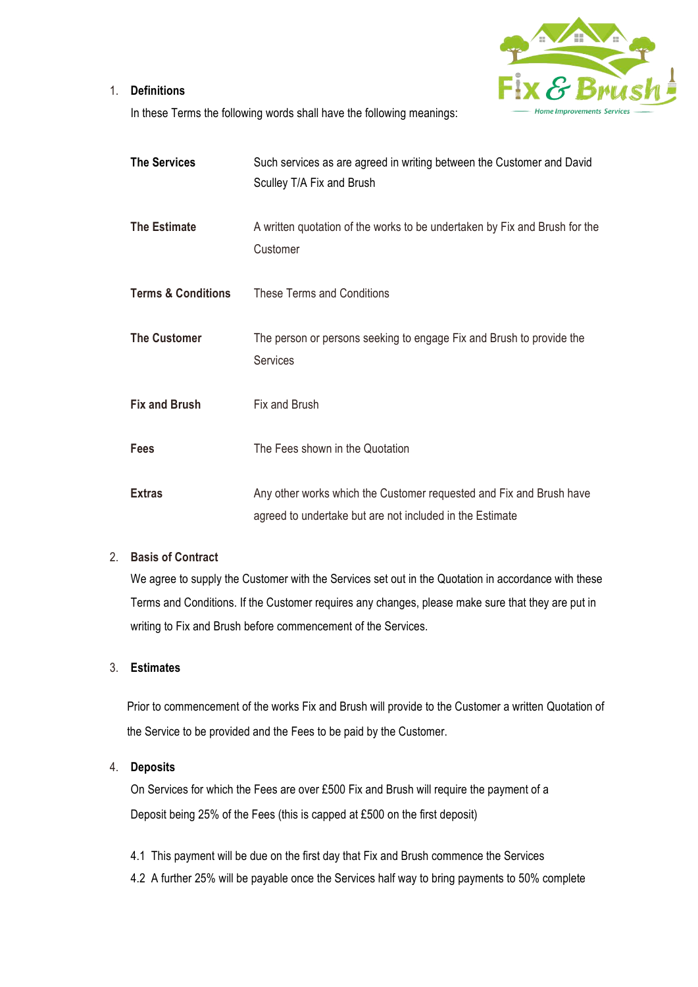



In these Terms the following words shall have the following meanings:

| <b>The Services</b>           | Such services as are agreed in writing between the Customer and David<br>Sculley T/A Fix and Brush                              |
|-------------------------------|---------------------------------------------------------------------------------------------------------------------------------|
| <b>The Estimate</b>           | A written quotation of the works to be undertaken by Fix and Brush for the<br>Customer                                          |
| <b>Terms &amp; Conditions</b> | <b>These Terms and Conditions</b>                                                                                               |
| <b>The Customer</b>           | The person or persons seeking to engage Fix and Brush to provide the<br><b>Services</b>                                         |
| <b>Fix and Brush</b>          | Fix and Brush                                                                                                                   |
| <b>Fees</b>                   | The Fees shown in the Quotation                                                                                                 |
| <b>Extras</b>                 | Any other works which the Customer requested and Fix and Brush have<br>agreed to undertake but are not included in the Estimate |

### 2. **Basis of Contract**

We agree to supply the Customer with the Services set out in the Quotation in accordance with these Terms and Conditions. If the Customer requires any changes, please make sure that they are put in writing to Fix and Brush before commencement of the Services.

## 3. **Estimates**

Prior to commencement of the works Fix and Brush will provide to the Customer a written Quotation of the Service to be provided and the Fees to be paid by the Customer.

### 4. **Deposits**

On Services for which the Fees are over £500 Fix and Brush will require the payment of a Deposit being 25% of the Fees (this is capped at £500 on the first deposit)

- 4.1 This payment will be due on the first day that Fix and Brush commence the Services
- 4.2 A further 25% will be payable once the Services half way to bring payments to 50% complete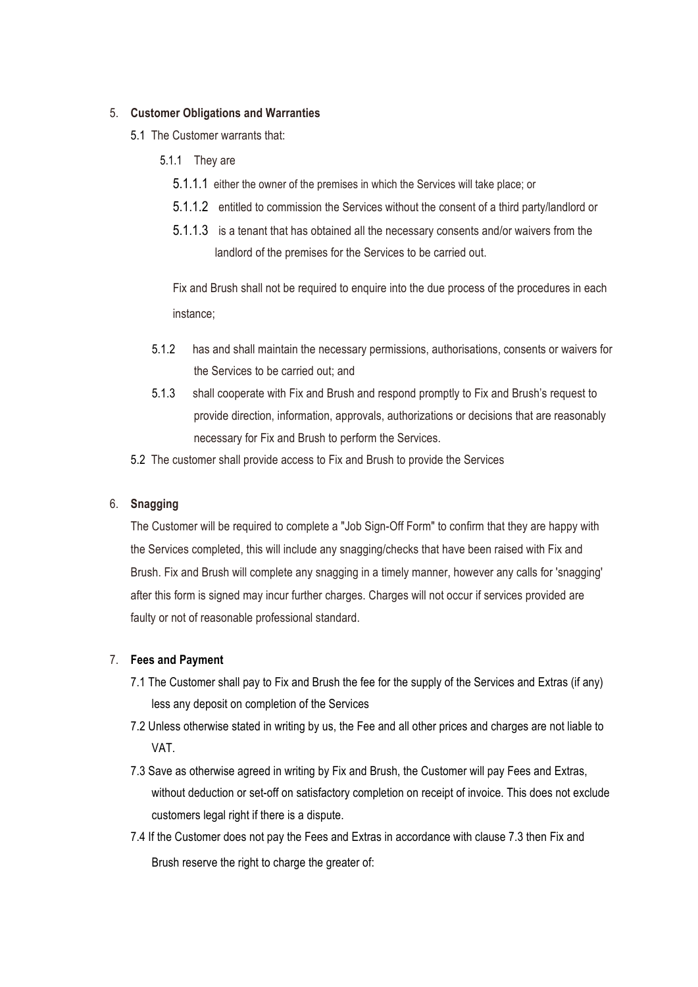### 5. **Customer Obligations and Warranties**

- 5.1 The Customer warrants that:
	- 5.1.1 They are
		- 5.1.1.1 either the owner of the premises in which the Services will take place; or
		- 5.1.1.2 entitled to commission the Services without the consent of a third party/landlord or
		- 5.1.1.3 is a tenant that has obtained all the necessary consents and/or waivers from the landlord of the premises for the Services to be carried out.

Fix and Brush shall not be required to enquire into the due process of the procedures in each instance;

- 5.1.2 has and shall maintain the necessary permissions, authorisations, consents or waivers for the Services to be carried out; and
- 5.1.3 shall cooperate with Fix and Brush and respond promptly to Fix and Brush's request to provide direction, information, approvals, authorizations or decisions that are reasonably necessary for Fix and Brush to perform the Services.
- 5.2 The customer shall provide access to Fix and Brush to provide the Services

## 6. **Snagging**

The Customer will be required to complete a "Job Sign-Off Form" to confirm that they are happy with the Services completed, this will include any snagging/checks that have been raised with Fix and Brush. Fix and Brush will complete any snagging in a timely manner, however any calls for 'snagging' after this form is signed may incur further charges. Charges will not occur if services provided are faulty or not of reasonable professional standard.

## 7. **Fees and Payment**

- 7.1 The Customer shall pay to Fix and Brush the fee for the supply of the Services and Extras (if any) less any deposit on completion of the Services
- 7.2 Unless otherwise stated in writing by us, the Fee and all other prices and charges are not liable to VAT.
- 7.3 Save as otherwise agreed in writing by Fix and Brush, the Customer will pay Fees and Extras, without deduction or set-off on satisfactory completion on receipt of invoice. This does not exclude customers legal right if there is a dispute.
- 7.4 If the Customer does not pay the Fees and Extras in accordance with clause 7.3 then Fix and Brush reserve the right to charge the greater of: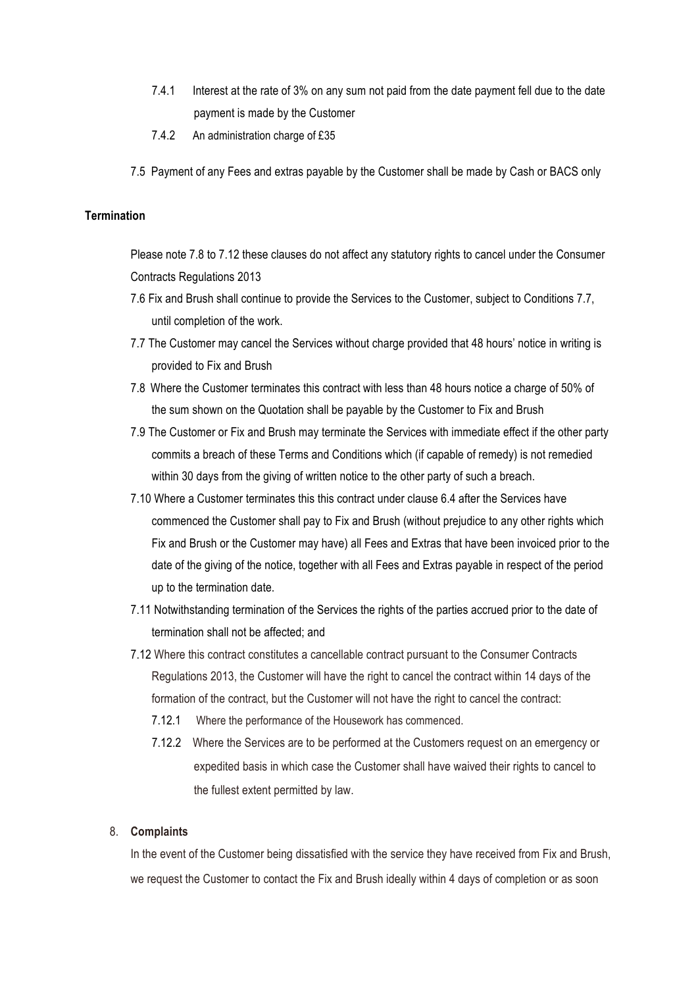- 7.4.1 Interest at the rate of 3% on any sum not paid from the date payment fell due to the date payment is made by the Customer
- 7.4.2 An administration charge of £35
- 7.5 Payment of any Fees and extras payable by the Customer shall be made by Cash or BACS only

## **Termination**

Please note 7.8 to 7.12 these clauses do not affect any statutory rights to cancel under the Consumer Contracts Regulations 2013

- 7.6 Fix and Brush shall continue to provide the Services to the Customer, subject to Conditions 7.7, until completion of the work.
- 7.7 The Customer may cancel the Services without charge provided that 48 hours' notice in writing is provided to Fix and Brush
- 7.8 Where the Customer terminates this contract with less than 48 hours notice a charge of 50% of the sum shown on the Quotation shall be payable by the Customer to Fix and Brush
- 7.9 The Customer or Fix and Brush may terminate the Services with immediate effect if the other party commits a breach of these Terms and Conditions which (if capable of remedy) is not remedied within 30 days from the giving of written notice to the other party of such a breach.
- 7.10 Where a Customer terminates this this contract under clause 6.4 after the Services have commenced the Customer shall pay to Fix and Brush (without prejudice to any other rights which Fix and Brush or the Customer may have) all Fees and Extras that have been invoiced prior to the date of the giving of the notice, together with all Fees and Extras payable in respect of the period up to the termination date.
- 7.11 Notwithstanding termination of the Services the rights of the parties accrued prior to the date of termination shall not be affected; and
- 7.12 Where this contract constitutes a cancellable contract pursuant to the Consumer Contracts Regulations 2013, the Customer will have the right to cancel the contract within 14 days of the formation of the contract, but the Customer will not have the right to cancel the contract:
	- 7.12.1 Where the performance of the Housework has commenced.
	- 7.12.2 Where the Services are to be performed at the Customers request on an emergency or expedited basis in which case the Customer shall have waived their rights to cancel to the fullest extent permitted by law.

#### 8. **Complaints**

In the event of the Customer being dissatisfied with the service they have received from Fix and Brush, we request the Customer to contact the Fix and Brush ideally within 4 days of completion or as soon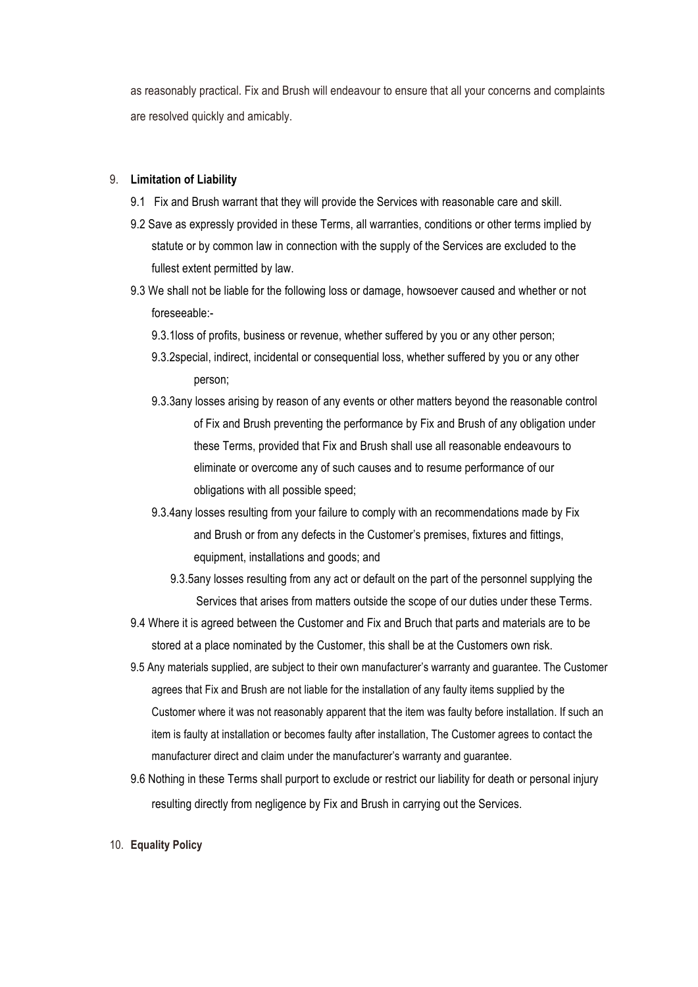as reasonably practical. Fix and Brush will endeavour to ensure that all your concerns and complaints are resolved quickly and amicably.

#### 9. **Limitation of Liability**

- 9.1 Fix and Brush warrant that they will provide the Services with reasonable care and skill.
- 9.2 Save as expressly provided in these Terms, all warranties, conditions or other terms implied by statute or by common law in connection with the supply of the Services are excluded to the fullest extent permitted by law.
- 9.3 We shall not be liable for the following loss or damage, howsoever caused and whether or not foreseeable:-
	- 9.3.1loss of profits, business or revenue, whether suffered by you or any other person;
	- 9.3.2special, indirect, incidental or consequential loss, whether suffered by you or any other person;
	- 9.3.3any losses arising by reason of any events or other matters beyond the reasonable control of Fix and Brush preventing the performance by Fix and Brush of any obligation under these Terms, provided that Fix and Brush shall use all reasonable endeavours to eliminate or overcome any of such causes and to resume performance of our obligations with all possible speed;
	- 9.3.4any losses resulting from your failure to comply with an recommendations made by Fix and Brush or from any defects in the Customer's premises, fixtures and fittings, equipment, installations and goods; and
		- 9.3.5any losses resulting from any act or default on the part of the personnel supplying the Services that arises from matters outside the scope of our duties under these Terms.
- 9.4 Where it is agreed between the Customer and Fix and Bruch that parts and materials are to be stored at a place nominated by the Customer, this shall be at the Customers own risk.
- 9.5 Any materials supplied, are subject to their own manufacturer's warranty and guarantee. The Customer agrees that Fix and Brush are not liable for the installation of any faulty items supplied by the Customer where it was not reasonably apparent that the item was faulty before installation. If such an item is faulty at installation or becomes faulty after installation, The Customer agrees to contact the manufacturer direct and claim under the manufacturer's warranty and guarantee.
- 9.6 Nothing in these Terms shall purport to exclude or restrict our liability for death or personal injury resulting directly from negligence by Fix and Brush in carrying out the Services.
- 10. **Equality Policy**